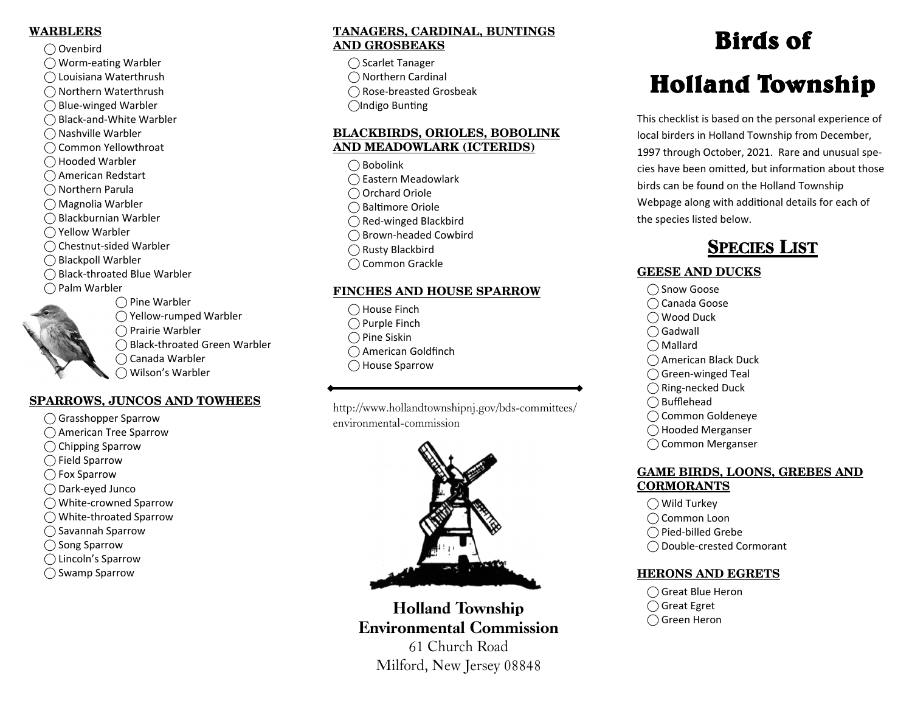#### **WARBLERS**

- ⃝ Ovenbird
- ◯ Worm-eating Warbler
- ⃝ Louisiana Waterthrush
- ⃝ Northern Waterthrush
- $\bigcap$  Blue-winged Warbler
- ⃝ Black-and-White Warbler
- ⃝ Nashville Warbler
- ◯ Common Yellowthroat
- ⃝ Hooded Warbler
- ◯ American Redstart
- ⃝ Northern Parula
- ⃝ Magnolia Warbler
- ⃝ Blackburnian Warbler
- ◯ Yellow Warbler
- ◯ Chestnut-sided Warbler
- ⃝ Blackpoll Warbler
- ⃝ Black-throated Blue Warbler
- $\bigcap$  Palm Warbler
- - **SPARROWS, JUNCOS AND TOWHEES**

 $\bigcap$  Pine Warbler

⃝ Prairie Warbler

⃝ Canada Warbler ⃝ Wilson's Warbler

⃝ Yellow-rumped Warbler

⃝ Black-throated Green Warbler

- ⃝ Grasshopper Sparrow
- ◯ American Tree Sparrow
- ◯ Chipping Sparrow
- $\bigcap$  Field Sparrow
- ⃝ Fox Sparrow
- ⃝ Dark-eyed Junco
- ⃝ White-crowned Sparrow
- ⃝ White-throated Sparrow
- ⃝ Savannah Sparrow
- ◯ Song Sparrow
- ⃝ Lincoln's Sparrow
- ⃝ Swamp Sparrow

#### **TANAGERS, CARDINAL, BUNTINGS AND GROSBEAKS**

- ⃝ Scarlet Tanager ⃝ Northern Cardinal ⃝ Rose-breasted Grosbeak ◯Indigo Bunting
- **BLACKBIRDS, ORIOLES, BOBOLINK AND MEADOWLARK (ICTERIDS)** 
	- $\bigcap$  Bobolink ⃝ Eastern Meadowlark ◯ Orchard Oriole ⃝ Bal Ɵmore Oriole ⃝ Red-winged Blackbird ⃝ Brown-headed Cowbird ⃝ Rusty Blackbird
	- ⃝ Common Grackle

#### **FINCHES AND HOUSE SPARROW**

- ⃝ House Finch
- $\bigcap$  Purple Finch
- $\bigcap$  Pine Siskin
- ◯ American Goldfinch
- ◯ House Sparrow

http://www.hollandtownshipnj.gov/bds-committees/ environmental-commission



Holland Township Environmental Commission 61 Church Road

### Milford, New Jersey 08848

## Birds of

# Holland Township

This checklist is based on the personal experience of local birders in Holland Township from December, 1997 through October, 2021. Rare and unusual species have been omitted, but information about those birds can be found on the Holland Township Webpage along with additional details for each of the species listed below.

### SPECIES LIST

#### **GEESE AND DUCKS**

- ◯ Snow Goose
- ⃝ Canada Goose
- ◯ Wood Duck
- $\bigcap$  Gadwall
- $\bigcap$  Mallard
- ⃝ American Black Duck
- $\bigcap$  Green-winged Teal
- ⃝ Ring-necked Duck
- $\bigcirc$  Bufflehead
- ⃝ Common Goldeneye
- ⃝ Hooded Merganser
- ◯ Common Merganser

#### **GAME BIRDS, LOONS, GREBES AND CORMORANTS**

- $\bigcirc$  Wild Turkey
- ⃝ Common Loon
- ⃝ Pied-billed Grebe
- ⃝ Double-crested Cormorant

#### **HERONS AND EGRETS**

- ⃝ Great Blue Heron
- ◯ Great Egret
- ⃝ Green Heron